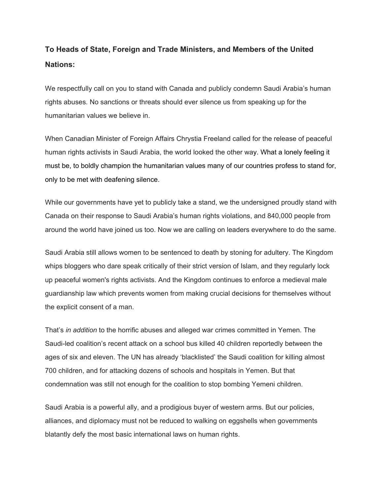## **To Heads of State, Foreign and Trade Ministers, and Members of the United Nations:**

We respectfully call on you to stand with Canada and publicly condemn Saudi Arabia's human rights abuses. No sanctions or threats should ever silence us from speaking up for the humanitarian values we believe in.

When Canadian Minister of Foreign Affairs Chrystia Freeland called for the release of peaceful human rights activists in Saudi Arabia, the world looked the other way. What a lonely feeling it must be, to boldly champion the humanitarian values many of our countries profess to stand for, only to be met with deafening silence.

While our governments have yet to publicly take a stand, we the undersigned proudly stand with Canada on their response to Saudi Arabia's human rights violations, and 840,000 people from around the world have joined us too. Now we are calling on leaders everywhere to do the same.

Saudi Arabia still allows women to be sentenced to death by stoning for adultery. The Kingdom whips bloggers who dare speak critically of their strict version of Islam, and they regularly lock up peaceful women's rights activists. And the Kingdom continues to enforce a medieval male guardianship law which prevents women from making crucial decisions for themselves without the explicit consent of a man.

That's *in addition* to the horrific abuses and alleged war crimes committed in Yemen. The Saudi-led coalition's recent attack on a school bus killed 40 children reportedly between the ages of six and eleven. The UN has already 'blacklisted' the Saudi coalition for killing almost 700 children, and for attacking dozens of schools and hospitals in Yemen. But that condemnation was still not enough for the coalition to stop bombing Yemeni children.

Saudi Arabia is a powerful ally, and a prodigious buyer of western arms. But our policies, alliances, and diplomacy must not be reduced to walking on eggshells when governments blatantly defy the most basic international laws on human rights.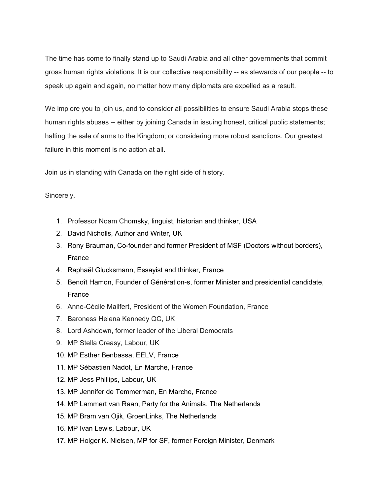The time has come to finally stand up to Saudi Arabia and all other governments that commit gross human rights violations. It is our collective responsibility -- as stewards of our people -- to speak up again and again, no matter how many diplomats are expelled as a result.

We implore you to join us, and to consider all possibilities to ensure Saudi Arabia stops these human rights abuses -- either by joining Canada in issuing honest, critical public statements; halting the sale of arms to the Kingdom; or considering more robust sanctions. Our greatest failure in this moment is no action at all.

Join us in standing with Canada on the right side of history.

## Sincerely,

- 1. Professor Noam Chomsky, linguist, historian and thinker, USA
- 2. David Nicholls, Author and Writer, UK
- 3. Rony Brauman, Co-founder and former President of MSF (Doctors without borders), France
- 4. Raphaël Glucksmann, Essayist and thinker, France
- 5. Benoît Hamon, Founder of Génération-s, former Minister and presidential candidate, France
- 6. Anne-Cécile Mailfert, President of the Women Foundation, France
- 7. Baroness Helena Kennedy QC, UK
- 8. Lord Ashdown, former leader of the Liberal Democrats
- 9. MP Stella Creasy, Labour, UK
- 10. MP Esther Benbassa, EELV, France
- 11. MP Sébastien Nadot, En Marche, France
- 12. MP Jess Phillips, Labour, UK
- 13. MP Jennifer de Temmerman, En Marche, France
- 14. MP Lammert van Raan, Party for the Animals, The Netherlands
- 15. MP Bram van Ojik, GroenLinks, The Netherlands
- 16. MP Ivan Lewis, Labour, UK
- 17. MP Holger K. Nielsen, MP for SF, former Foreign Minister, Denmark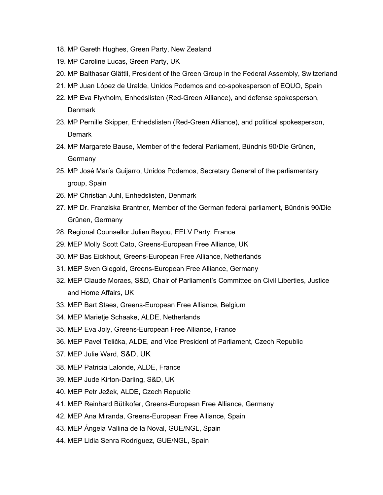- 18. MP Gareth Hughes, Green Party, New Zealand
- 19. MP Caroline Lucas, Green Party, UK
- 20. MP Balthasar Glättli, President of the Green Group in the Federal Assembly, Switzerland
- 21. MP Juan López de Uralde, Unidos Podemos and co-spokesperson of EQUO, Spain
- 22. MP Eva Flyvholm, Enhedslisten (Red-Green Alliance), and defense spokesperson, **Denmark**
- 23. MP Pernille Skipper, Enhedslisten (Red-Green Alliance), and political spokesperson, **Demark**
- 24. MP Margarete Bause, Member of the federal Parliament, Bündnis 90/Die Grünen, Germany
- 25. MP José María Guijarro, Unidos Podemos, Secretary General of the parliamentary group, Spain
- 26. MP Christian Juhl, Enhedslisten, Denmark
- 27. MP Dr. Franziska Brantner, Member of the German federal parliament, Bündnis 90/Die Grünen, Germany
- 28. Regional Counsellor Julien Bayou, EELV Party, France
- 29. MEP Molly Scott Cato, Greens-European Free Alliance, UK
- 30. MP Bas Eickhout, Greens-European Free Alliance, Netherlands
- 31. MEP Sven Giegold, Greens-European Free Alliance, Germany
- 32. MEP Claude Moraes, S&D, Chair of Parliament's Committee on Civil Liberties, Justice and Home Affairs, UK
- 33. MEP Bart Staes, Greens-European Free Alliance, Belgium
- 34. MEP Marietje Schaake, ALDE, Netherlands
- 35. MEP Eva Joly, Greens-European Free Alliance, France
- 36. MEP Pavel Telička, ALDE, and Vice President of Parliament, Czech Republic
- 37. MEP Julie Ward, S&D, UK
- 38. MEP Patricia Lalonde, ALDE, France
- 39. MEP Jude Kirton-Darling, S&D, UK
- 40. MEP Petr Ježek, ALDE, Czech Republic
- 41. MEP Reinhard Bütikofer, Greens-European Free Alliance, Germany
- 42. MEP Ana Miranda, Greens-European Free Alliance, Spain
- 43. MEP Ángela Vallina de la Noval, GUE/NGL, Spain
- 44. MEP Lidia Senra Rodríguez, GUE/NGL, Spain